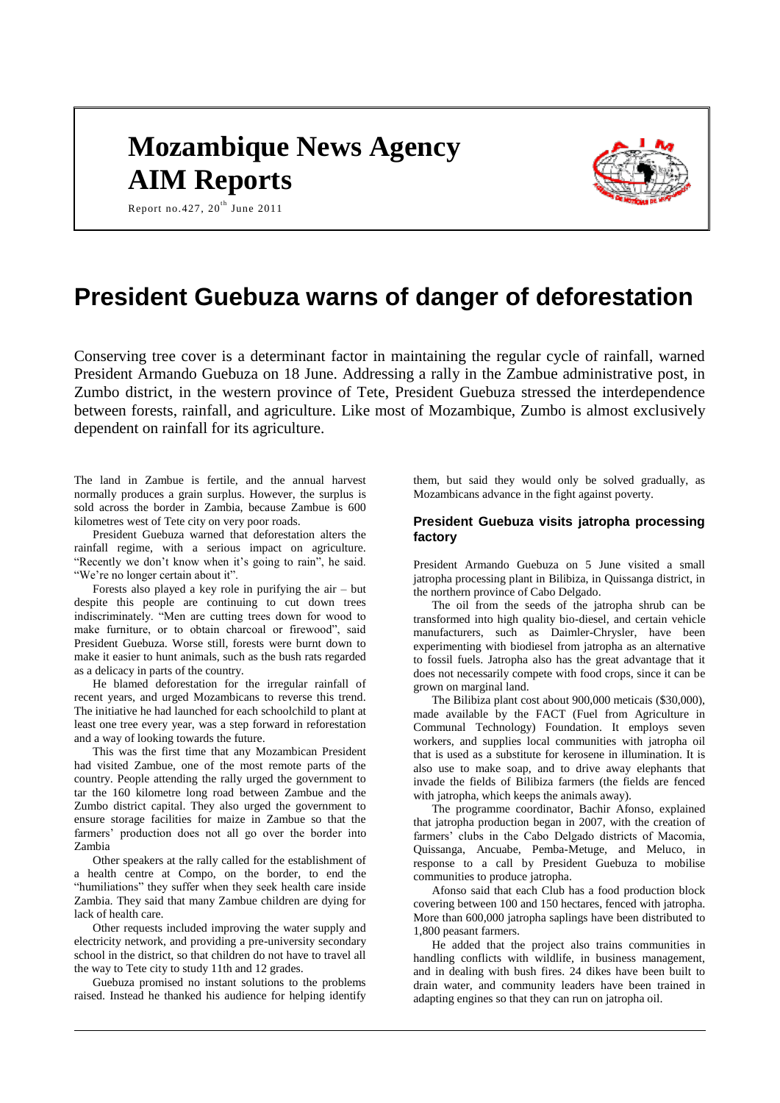# **Mozambique News Agency AIM Reports**



Report no. 427,  $20^{\text{th}}$  June 2011

# **President Guebuza warns of danger of deforestation**

Conserving tree cover is a determinant factor in maintaining the regular cycle of rainfall, warned President Armando Guebuza on 18 June. Addressing a rally in the Zambue administrative post, in Zumbo district, in the western province of Tete, President Guebuza stressed the interdependence between forests, rainfall, and agriculture. Like most of Mozambique, Zumbo is almost exclusively dependent on rainfall for its agriculture.

The land in Zambue is fertile, and the annual harvest normally produces a grain surplus. However, the surplus is sold across the border in Zambia, because Zambue is 600 kilometres west of Tete city on very poor roads.

President Guebuza warned that deforestation alters the rainfall regime, with a serious impact on agriculture. "Recently we don't know when it's going to rain", he said. "We're no longer certain about it".

Forests also played a key role in purifying the air – but despite this people are continuing to cut down trees indiscriminately. "Men are cutting trees down for wood to make furniture, or to obtain charcoal or firewood", said President Guebuza. Worse still, forests were burnt down to make it easier to hunt animals, such as the bush rats regarded as a delicacy in parts of the country.

He blamed deforestation for the irregular rainfall of recent years, and urged Mozambicans to reverse this trend. The initiative he had launched for each schoolchild to plant at least one tree every year, was a step forward in reforestation and a way of looking towards the future.

This was the first time that any Mozambican President had visited Zambue, one of the most remote parts of the country. People attending the rally urged the government to tar the 160 kilometre long road between Zambue and the Zumbo district capital. They also urged the government to ensure storage facilities for maize in Zambue so that the farmers' production does not all go over the border into Zambia

Other speakers at the rally called for the establishment of a health centre at Compo, on the border, to end the "humiliations" they suffer when they seek health care inside Zambia. They said that many Zambue children are dying for lack of health care.

Other requests included improving the water supply and electricity network, and providing a pre-university secondary school in the district, so that children do not have to travel all the way to Tete city to study 11th and 12 grades.

Guebuza promised no instant solutions to the problems raised. Instead he thanked his audience for helping identify them, but said they would only be solved gradually, as Mozambicans advance in the fight against poverty.

# **President Guebuza visits jatropha processing factory**

President Armando Guebuza on 5 June visited a small jatropha processing plant in Bilibiza, in Quissanga district, in the northern province of Cabo Delgado.

The oil from the seeds of the jatropha shrub can be transformed into high quality bio-diesel, and certain vehicle manufacturers, such as Daimler-Chrysler, have been experimenting with biodiesel from jatropha as an alternative to fossil fuels. Jatropha also has the great advantage that it does not necessarily compete with food crops, since it can be grown on marginal land.

The Bilibiza plant cost about 900,000 meticais (\$30,000), made available by the FACT (Fuel from Agriculture in Communal Technology) Foundation. It employs seven workers, and supplies local communities with jatropha oil that is used as a substitute for kerosene in illumination. It is also use to make soap, and to drive away elephants that invade the fields of Bilibiza farmers (the fields are fenced with jatropha, which keeps the animals away).

The programme coordinator, Bachir Afonso, explained that jatropha production began in 2007, with the creation of farmers' clubs in the Cabo Delgado districts of Macomia, Quissanga, Ancuabe, Pemba-Metuge, and Meluco, in response to a call by President Guebuza to mobilise communities to produce jatropha.

Afonso said that each Club has a food production block covering between 100 and 150 hectares, fenced with jatropha. More than 600,000 jatropha saplings have been distributed to 1,800 peasant farmers.

He added that the project also trains communities in handling conflicts with wildlife, in business management, and in dealing with bush fires. 24 dikes have been built to drain water, and community leaders have been trained in adapting engines so that they can run on jatropha oil.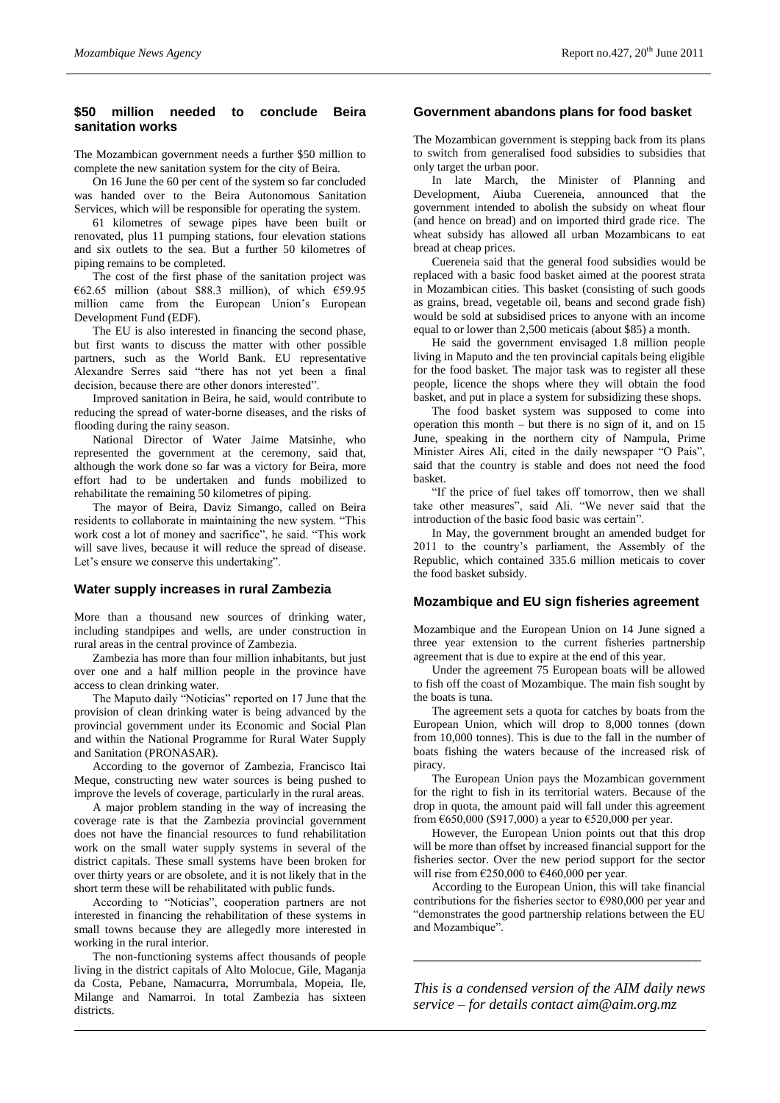# **\$50 million needed to conclude Beira sanitation works**

The Mozambican government needs a further \$50 million to complete the new sanitation system for the city of Beira.

On 16 June the 60 per cent of the system so far concluded was handed over to the Beira Autonomous Sanitation Services, which will be responsible for operating the system.

61 kilometres of sewage pipes have been built or renovated, plus 11 pumping stations, four elevation stations and six outlets to the sea. But a further 50 kilometres of piping remains to be completed.

The cost of the first phase of the sanitation project was €62.65 million (about \$88.3 million), of which  $€59.95$ million came from the European Union's European Development Fund (EDF).

The EU is also interested in financing the second phase, but first wants to discuss the matter with other possible partners, such as the World Bank. EU representative Alexandre Serres said "there has not yet been a final decision, because there are other donors interested".

Improved sanitation in Beira, he said, would contribute to reducing the spread of water-borne diseases, and the risks of flooding during the rainy season.

National Director of Water Jaime Matsinhe, who represented the government at the ceremony, said that, although the work done so far was a victory for Beira, more effort had to be undertaken and funds mobilized to rehabilitate the remaining 50 kilometres of piping.

The mayor of Beira, Daviz Simango, called on Beira residents to collaborate in maintaining the new system. "This work cost a lot of money and sacrifice", he said. "This work will save lives, because it will reduce the spread of disease. Let's ensure we conserve this undertaking".

# **Water supply increases in rural Zambezia**

More than a thousand new sources of drinking water, including standpipes and wells, are under construction in rural areas in the central province of Zambezia.

Zambezia has more than four million inhabitants, but just over one and a half million people in the province have access to clean drinking water.

The Maputo daily "Noticias" reported on 17 June that the provision of clean drinking water is being advanced by the provincial government under its Economic and Social Plan and within the National Programme for Rural Water Supply and Sanitation (PRONASAR).

According to the governor of Zambezia, Francisco Itai Meque, constructing new water sources is being pushed to improve the levels of coverage, particularly in the rural areas.

A major problem standing in the way of increasing the coverage rate is that the Zambezia provincial government does not have the financial resources to fund rehabilitation work on the small water supply systems in several of the district capitals. These small systems have been broken for over thirty years or are obsolete, and it is not likely that in the short term these will be rehabilitated with public funds.

According to "Noticias", cooperation partners are not interested in financing the rehabilitation of these systems in small towns because they are allegedly more interested in working in the rural interior.

The non-functioning systems affect thousands of people living in the district capitals of Alto Molocue, Gile, Maganja da Costa, Pebane, Namacurra, Morrumbala, Mopeia, Ile, Milange and Namarroi. In total Zambezia has sixteen districts.

# **Government abandons plans for food basket**

The Mozambican government is stepping back from its plans to switch from generalised food subsidies to subsidies that only target the urban poor.

In late March, the Minister of Planning and Development, Aiuba Cuereneia, announced that the government intended to abolish the subsidy on wheat flour (and hence on bread) and on imported third grade rice. The wheat subsidy has allowed all urban Mozambicans to eat bread at cheap prices.

Cuereneia said that the general food subsidies would be replaced with a basic food basket aimed at the poorest strata in Mozambican cities. This basket (consisting of such goods as grains, bread, vegetable oil, beans and second grade fish) would be sold at subsidised prices to anyone with an income equal to or lower than 2,500 meticais (about \$85) a month.

He said the government envisaged 1.8 million people living in Maputo and the ten provincial capitals being eligible for the food basket. The major task was to register all these people, licence the shops where they will obtain the food basket, and put in place a system for subsidizing these shops.

The food basket system was supposed to come into operation this month – but there is no sign of it, and on 15 June, speaking in the northern city of Nampula, Prime Minister Aires Ali, cited in the daily newspaper "O Pais", said that the country is stable and does not need the food basket.

"If the price of fuel takes off tomorrow, then we shall take other measures", said Ali. "We never said that the introduction of the basic food basic was certain".

In May, the government brought an amended budget for 2011 to the country's parliament, the Assembly of the Republic, which contained 335.6 million meticais to cover the food basket subsidy.

#### **Mozambique and EU sign fisheries agreement**

Mozambique and the European Union on 14 June signed a three year extension to the current fisheries partnership agreement that is due to expire at the end of this year.

Under the agreement 75 European boats will be allowed to fish off the coast of Mozambique. The main fish sought by the boats is tuna.

The agreement sets a quota for catches by boats from the European Union, which will drop to 8,000 tonnes (down from 10,000 tonnes). This is due to the fall in the number of boats fishing the waters because of the increased risk of piracy.

The European Union pays the Mozambican government for the right to fish in its territorial waters. Because of the drop in quota, the amount paid will fall under this agreement from  $\text{\textsterling}650,000$  (\$917,000) a year to  $\text{\textsterling}520,000$  per year.

However, the European Union points out that this drop will be more than offset by increased financial support for the fisheries sector. Over the new period support for the sector will rise from  $\epsilon$ 250,000 to  $\epsilon$ 460,000 per year.

According to the European Union, this will take financial contributions for the fisheries sector to  $\epsilon$ 980,000 per year and "demonstrates the good partnership relations between the EU and Mozambique".

*This is a condensed version of the AIM daily news service – for details contact [aim@aim.org.mz](mailto:aim@aim.org.mz)*

*\_\_\_\_\_\_\_\_\_\_\_\_\_\_\_\_\_\_\_\_\_\_\_\_\_\_\_\_\_\_\_\_\_\_\_\_\_\_\_\_\_\_\_\_*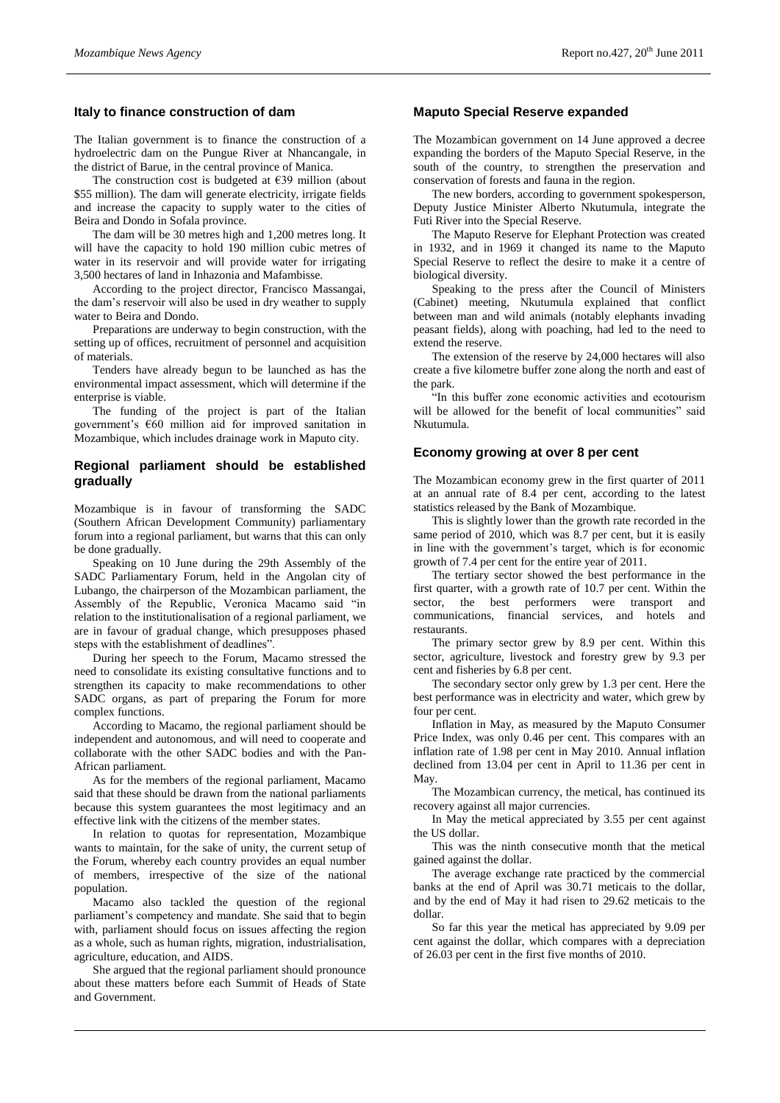# **Italy to finance construction of dam**

The Italian government is to finance the construction of a hydroelectric dam on the Pungue River at Nhancangale, in the district of Barue, in the central province of Manica.

The construction cost is budgeted at  $E$ 39 million (about \$55 million). The dam will generate electricity, irrigate fields and increase the capacity to supply water to the cities of Beira and Dondo in Sofala province.

The dam will be 30 metres high and 1,200 metres long. It will have the capacity to hold 190 million cubic metres of water in its reservoir and will provide water for irrigating 3,500 hectares of land in Inhazonia and Mafambisse.

According to the project director, Francisco Massangai, the dam's reservoir will also be used in dry weather to supply water to Beira and Dondo.

Preparations are underway to begin construction, with the setting up of offices, recruitment of personnel and acquisition of materials.

Tenders have already begun to be launched as has the environmental impact assessment, which will determine if the enterprise is viable.

The funding of the project is part of the Italian government's €60 million aid for improved sanitation in Mozambique, which includes drainage work in Maputo city.

#### **Regional parliament should be established gradually**

Mozambique is in favour of transforming the SADC (Southern African Development Community) parliamentary forum into a regional parliament, but warns that this can only be done gradually.

Speaking on 10 June during the 29th Assembly of the SADC Parliamentary Forum, held in the Angolan city of Lubango, the chairperson of the Mozambican parliament, the Assembly of the Republic, Veronica Macamo said "in relation to the institutionalisation of a regional parliament, we are in favour of gradual change, which presupposes phased steps with the establishment of deadlines".

During her speech to the Forum, Macamo stressed the need to consolidate its existing consultative functions and to strengthen its capacity to make recommendations to other SADC organs, as part of preparing the Forum for more complex functions.

According to Macamo, the regional parliament should be independent and autonomous, and will need to cooperate and collaborate with the other SADC bodies and with the Pan-African parliament.

As for the members of the regional parliament, Macamo said that these should be drawn from the national parliaments because this system guarantees the most legitimacy and an effective link with the citizens of the member states.

In relation to quotas for representation, Mozambique wants to maintain, for the sake of unity, the current setup of the Forum, whereby each country provides an equal number of members, irrespective of the size of the national population.

Macamo also tackled the question of the regional parliament's competency and mandate. She said that to begin with, parliament should focus on issues affecting the region as a whole, such as human rights, migration, industrialisation, agriculture, education, and AIDS.

She argued that the regional parliament should pronounce about these matters before each Summit of Heads of State and Government.

# **Maputo Special Reserve expanded**

The Mozambican government on 14 June approved a decree expanding the borders of the Maputo Special Reserve, in the south of the country, to strengthen the preservation and conservation of forests and fauna in the region.

The new borders, according to government spokesperson, Deputy Justice Minister Alberto Nkutumula, integrate the Futi River into the Special Reserve.

The Maputo Reserve for Elephant Protection was created in 1932, and in 1969 it changed its name to the Maputo Special Reserve to reflect the desire to make it a centre of biological diversity.

Speaking to the press after the Council of Ministers (Cabinet) meeting, Nkutumula explained that conflict between man and wild animals (notably elephants invading peasant fields), along with poaching, had led to the need to extend the reserve.

The extension of the reserve by 24,000 hectares will also create a five kilometre buffer zone along the north and east of the park.

"In this buffer zone economic activities and ecotourism will be allowed for the benefit of local communities" said Nkutumula.

# **Economy growing at over 8 per cent**

The Mozambican economy grew in the first quarter of 2011 at an annual rate of 8.4 per cent, according to the latest statistics released by the Bank of Mozambique.

This is slightly lower than the growth rate recorded in the same period of 2010, which was 8.7 per cent, but it is easily in line with the government's target, which is for economic growth of 7.4 per cent for the entire year of 2011.

The tertiary sector showed the best performance in the first quarter, with a growth rate of 10.7 per cent. Within the sector, the best performers were transport and communications, financial services, and hotels and restaurants.

The primary sector grew by 8.9 per cent. Within this sector, agriculture, livestock and forestry grew by 9.3 per cent and fisheries by 6.8 per cent.

The secondary sector only grew by 1.3 per cent. Here the best performance was in electricity and water, which grew by four per cent.

Inflation in May, as measured by the Maputo Consumer Price Index, was only 0.46 per cent. This compares with an inflation rate of 1.98 per cent in May 2010. Annual inflation declined from 13.04 per cent in April to 11.36 per cent in May.

The Mozambican currency, the metical, has continued its recovery against all major currencies.

In May the metical appreciated by 3.55 per cent against the US dollar.

This was the ninth consecutive month that the metical gained against the dollar.

The average exchange rate practiced by the commercial banks at the end of April was 30.71 meticais to the dollar, and by the end of May it had risen to 29.62 meticais to the dollar.

So far this year the metical has appreciated by 9.09 per cent against the dollar, which compares with a depreciation of 26.03 per cent in the first five months of 2010.